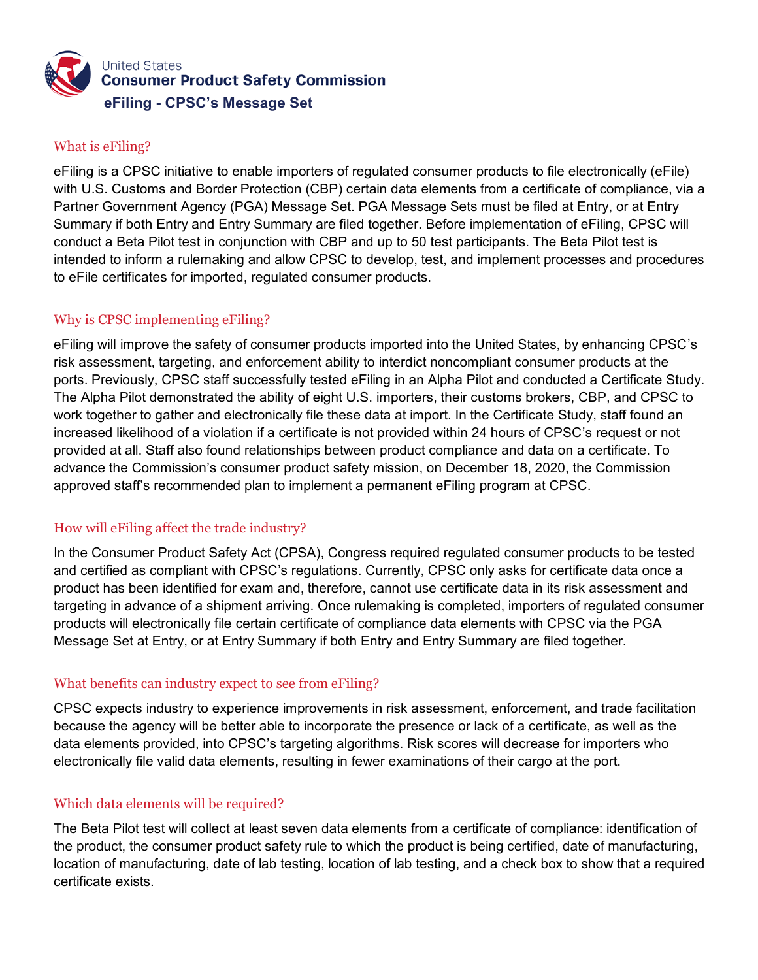

# What is eFiling?

eFiling is a CPSC initiative to enable importers of regulated consumer products to file electronically (eFile) with U.S. Customs and Border Protection (CBP) certain data elements from a certificate of compliance, via a Partner Government Agency (PGA) Message Set. PGA Message Sets must be filed at Entry, or at Entry Summary if both Entry and Entry Summary are filed together. Before implementation of eFiling, CPSC will conduct a Beta Pilot test in conjunction with CBP and up to 50 test participants. The Beta Pilot test is intended to inform a rulemaking and allow CPSC to develop, test, and implement processes and procedures to eFile certificates for imported, regulated consumer products.

# Why is CPSC implementing eFiling?

eFiling will improve the safety of consumer products imported into the United States, by enhancing CPSC's risk assessment, targeting, and enforcement ability to interdict noncompliant consumer products at the ports. Previously, CPSC staff successfully tested eFiling in an Alpha Pilot and conducted a Certificate Study. The Alpha Pilot demonstrated the ability of eight U.S. importers, their customs brokers, CBP, and CPSC to work together to gather and electronically file these data at import. In the Certificate Study, staff found an increased likelihood of a violation if a certificate is not provided within 24 hours of CPSC's request or not provided at all. Staff also found relationships between product compliance and data on a certificate. To advance the Commission's consumer product safety mission, on December 18, 2020, the Commission approved staff's recommended plan to implement a permanent eFiling program at CPSC.

# How will eFiling affect the trade industry?

In the Consumer Product Safety Act (CPSA), Congress required regulated consumer products to be tested and certified as compliant with CPSC's regulations. Currently, CPSC only asks for certificate data once a product has been identified for exam and, therefore, cannot use certificate data in its risk assessment and targeting in advance of a shipment arriving. Once rulemaking is completed, importers of regulated consumer products will electronically file certain certificate of compliance data elements with CPSC via the PGA Message Set at Entry, or at Entry Summary if both Entry and Entry Summary are filed together.

# What benefits can industry expect to see from eFiling?

CPSC expects industry to experience improvements in risk assessment, enforcement, and trade facilitation because the agency will be better able to incorporate the presence or lack of a certificate, as well as the data elements provided, into CPSC's targeting algorithms. Risk scores will decrease for importers who electronically file valid data elements, resulting in fewer examinations of their cargo at the port.

# Which data elements will be required?

The Beta Pilot test will collect at least seven data elements from a certificate of compliance: identification of the product, the consumer product safety rule to which the product is being certified, date of manufacturing, location of manufacturing, date of lab testing, location of lab testing, and a check box to show that a required certificate exists.